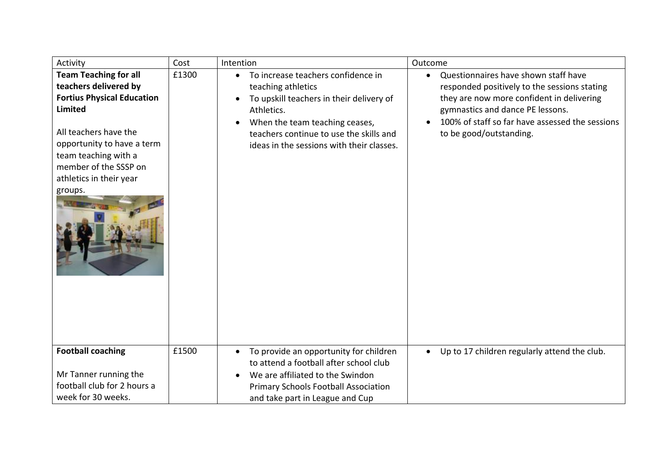| Activity                                                                                                                                                                                                                                                   | Cost  | Intention                                                                                                                                                                                                                                                              | Outcome                                                                                                                                                                                                                                                          |
|------------------------------------------------------------------------------------------------------------------------------------------------------------------------------------------------------------------------------------------------------------|-------|------------------------------------------------------------------------------------------------------------------------------------------------------------------------------------------------------------------------------------------------------------------------|------------------------------------------------------------------------------------------------------------------------------------------------------------------------------------------------------------------------------------------------------------------|
| <b>Team Teaching for all</b><br>teachers delivered by<br><b>Fortius Physical Education</b><br><b>Limited</b><br>All teachers have the<br>opportunity to have a term<br>team teaching with a<br>member of the SSSP on<br>athletics in their year<br>groups. | £1300 | To increase teachers confidence in<br>$\bullet$<br>teaching athletics<br>To upskill teachers in their delivery of<br>$\bullet$<br>Athletics.<br>When the team teaching ceases,<br>teachers continue to use the skills and<br>ideas in the sessions with their classes. | Questionnaires have shown staff have<br>$\bullet$<br>responded positively to the sessions stating<br>they are now more confident in delivering<br>gymnastics and dance PE lessons.<br>100% of staff so far have assessed the sessions<br>to be good/outstanding. |
| <b>Football coaching</b><br>Mr Tanner running the<br>football club for 2 hours a<br>week for 30 weeks.                                                                                                                                                     | £1500 | To provide an opportunity for children<br>$\bullet$<br>to attend a football after school club<br>We are affiliated to the Swindon<br>Primary Schools Football Association<br>and take part in League and Cup                                                           | Up to 17 children regularly attend the club.<br>$\bullet$                                                                                                                                                                                                        |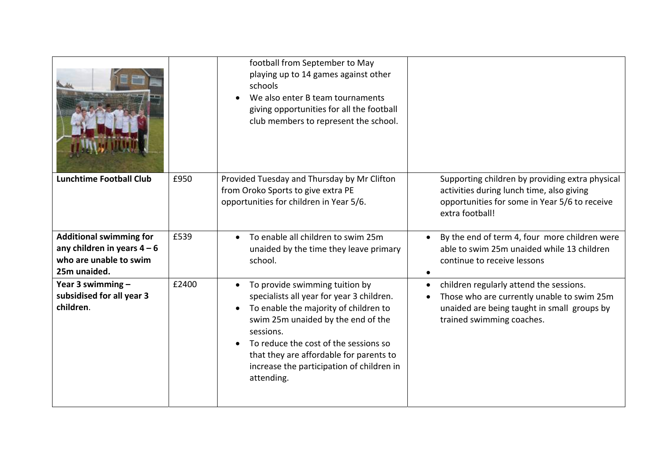|                                                                                                         |       | football from September to May<br>playing up to 14 games against other<br>schools<br>We also enter B team tournaments<br>giving opportunities for all the football<br>club members to represent the school.                                                                                                            |                                                                                                                                                                                |
|---------------------------------------------------------------------------------------------------------|-------|------------------------------------------------------------------------------------------------------------------------------------------------------------------------------------------------------------------------------------------------------------------------------------------------------------------------|--------------------------------------------------------------------------------------------------------------------------------------------------------------------------------|
| <b>Lunchtime Football Club</b>                                                                          | £950  | Provided Tuesday and Thursday by Mr Clifton<br>from Oroko Sports to give extra PE<br>opportunities for children in Year 5/6.                                                                                                                                                                                           | Supporting children by providing extra physical<br>activities during lunch time, also giving<br>opportunities for some in Year 5/6 to receive<br>extra football!               |
| <b>Additional swimming for</b><br>any children in years $4-6$<br>who are unable to swim<br>25m unaided. | £539  | To enable all children to swim 25m<br>unaided by the time they leave primary<br>school.                                                                                                                                                                                                                                | By the end of term 4, four more children were<br>able to swim 25m unaided while 13 children<br>continue to receive lessons                                                     |
| Year 3 swimming $-$<br>subsidised for all year 3<br>children.                                           | £2400 | To provide swimming tuition by<br>specialists all year for year 3 children.<br>To enable the majority of children to<br>swim 25m unaided by the end of the<br>sessions.<br>To reduce the cost of the sessions so<br>that they are affordable for parents to<br>increase the participation of children in<br>attending. | children regularly attend the sessions.<br>$\bullet$<br>Those who are currently unable to swim 25m<br>unaided are being taught in small groups by<br>trained swimming coaches. |